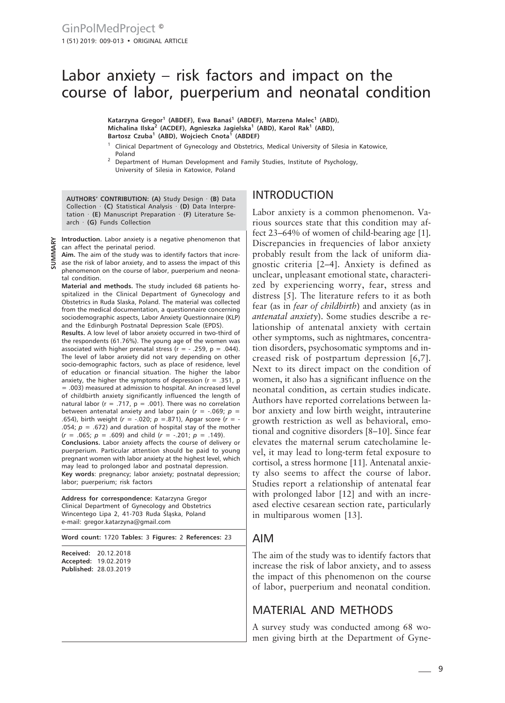# Labor anxiety – risk factors and impact on the course of labor, puerperium and neonatal condition

**Katarzyna Gregor<sup>1</sup> (ABDEF), Ewa Banaś<sup>1</sup> (ABDEF), Marzena Malec<sup>1</sup> (ABD), Michalina Ilska<sup>2</sup> (ACDEF), Agnieszka Jagielska<sup>1</sup> (ABD), Karol Rak<sup>1</sup> (ABD), Bartosz Czuba<sup>1</sup> (ABD), Wojciech Cnota<sup>1</sup> (ABDEF)**

- <sup>1</sup> Clinical Department of Gynecology and Obstetrics, Medical University of Silesia in Katowice, Poland
- <sup>2</sup> Department of Human Development and Family Studies, Institute of Psychology, University of Silesia in Katowice, Poland

**AUTHORS' CONTRIBUTION: (A)** Study Design · **(B)** Data Collection · **(C)** Statistical Analysis · **(D)** Data Interpretation · **(E)** Manuscript Preparation · **(F)** Literature Search · **(G)** Funds Collection

**Introduction.** Labor anxiety is a negative phenomenon that can affect the perinatal period.

**Aim.** The aim of the study was to identify factors that incre-

ase the risk of labor anxiety, and to assess the impact of this phenomenon on the course of labor, puerperium and neonatal condition. **SUMMARY**

**Material and methods.** The study included 68 patients hospitalized in the Clinical Department of Gynecology and Obstetrics in Ruda Slaska, Poland. The material was collected from the medical documentation, a questionnaire concerning sociodemographic aspects, Labor Anxiety Questionnaire (KLP) and the Edinburgh Postnatal Depression Scale (EPDS).

**Results.** A low level of labor anxiety occurred in two-third of the respondents (61.76%). The young age of the women was associated with higher prenatal stress ( $r = -0.259$ ,  $p = 0.044$ ). The level of labor anxiety did not vary depending on other socio-demographic factors, such as place of residence, level of education or financial situation. The higher the labor anxiety, the higher the symptoms of depression ( $r = .351$ , p = .003) measured at admission to hospital. An increased level of childbirth anxiety significantly influenced the length of natural labor (r = .717,  $p = .001$ ). There was no correlation between antenatal anxiety and labor pain  $(r = -0.069; p = 0.01)$ .654), birth weight (*r* = -.020; *p* =.871), Apgar score (*r* = - .054;  $p = .672$ ) and duration of hospital stay of the mother  $(r = .065; p = .609)$  and child  $(r = -.201; p = .149)$ . **Conclusions.** Labor anxiety affects the course of delivery or puerperium. Particular attention should be paid to young pregnant women with labor anxiety at the highest level, which may lead to prolonged labor and postnatal depression. **Key words**: pregnancy; labor anxiety; postnatal depression; labor; puerperium; risk factors

**Address for correspondence:** Katarzyna Gregor Clinical Department of Gynecology and Obstetrics Wincentego Lipa 2, 41-703 Ruda Śląska, Poland e-mail: gregor.katarzyna@gmail.com

**Word count:** 1720 **Tables:** 3 **Figures:** 2 **References:** 23

| Received: | 20.12.2018                   |
|-----------|------------------------------|
|           | Accepted: 19.02.2019         |
|           | <b>Published: 28.03.2019</b> |

## INTRODUCTION

Labor anxiety is a common phenomenon. Various sources state that this condition may affect 23–64% of women of child-bearing age [1]. Discrepancies in frequencies of labor anxiety probably result from the lack of uniform diagnostic criteria [2–4]. Anxiety is defined as unclear, unpleasant emotional state, characterized by experiencing worry, fear, stress and distress [5]. The literature refers to it as both fear (as in *fear of childbirth*) and anxiety (as in *antenatal anxiety*). Some studies describe a relationship of antenatal anxiety with certain other symptoms, such as nightmares, concentration disorders, psychosomatic symptoms and increased risk of postpartum depression [6,7]. Next to its direct impact on the condition of women, it also has a significant influence on the neonatal condition, as certain studies indicate. Authors have reported correlations between labor anxiety and low birth weight, intrauterine growth restriction as well as behavioral, emotional and cognitive disorders [8–10]. Since fear elevates the maternal serum catecholamine level, it may lead to long-term fetal exposure to cortisol, a stress hormone [11]. Antenatal anxiety also seems to affect the course of labor. Studies report a relationship of antenatal fear with prolonged labor [12] and with an increased elective cesarean section rate, particularly in multiparous women [13].

## AIM

The aim of the study was to identify factors that increase the risk of labor anxiety, and to assess the impact of this phenomenon on the course of labor, puerperium and neonatal condition.

## MATERIAL AND METHODS

A survey study was conducted among 68 women giving birth at the Department of Gyne-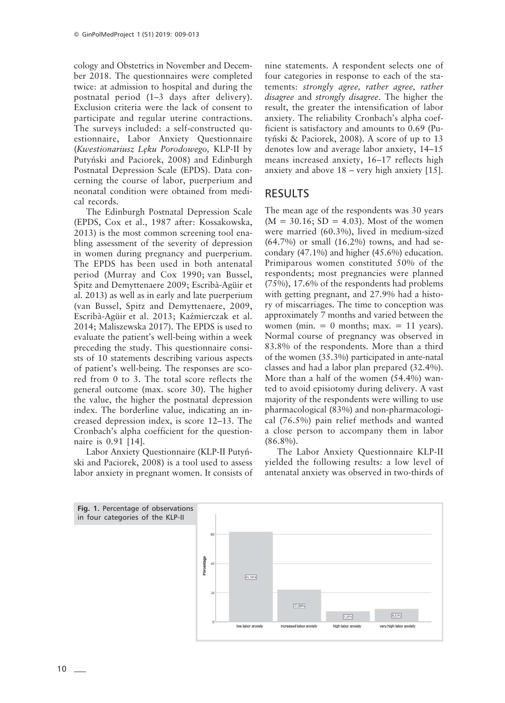cology and Obstetrics in November and December 2018. The questionnaires were completed twice: at admission to hospital and during the postnatal period (1–3 days after delivery). Exclusion criteria were the lack of consent to participate and regular uterine contractions. The surveys included: a self-constructed questionnaire, Labor Anxiety Questionnaire (*Kwestionariusz Lęku Porodowego,* KLP-II by Putyński and Paciorek, 2008) and Edinburgh Postnatal Depression Scale (EPDS). Data concerning the course of labor, puerperium and neonatal condition were obtained from medical records.

The Edinburgh Postnatal Depression Scale (EPDS, Cox et al., 1987 after: Kossakowska, 2013) is the most common screening tool enabling assessment of the severity of depression in women during pregnancy and puerperium. The EPDS has been used in both antenatal period (Murray and Cox 1990; van Bussel, Spitz and Demyttenaere 2009; Escribà-Agüir et al. 2013) as well as in early and late puerperium (van Bussel, Spitz and Demyttenaere, 2009, Escribà-Agüir et al. 2013; Kaźmierczak et al. 2014; Maliszewska 2017). The EPDS is used to evaluate the patient's well-being within a week preceding the study. This questionnaire consists of 10 statements describing various aspects of patient's well-being. The responses are scored from 0 to 3. The total score reflects the general outcome (max. score 30). The higher the value, the higher the postnatal depression index. The borderline value, indicating an increased depression index, is score 12–13. The Cronbach's alpha coefficient for the questionnaire is 0.91 [14].

Labor Anxiety Questionnaire (KLP-II Putyński and Paciorek, 2008) is a tool used to assess labor anxiety in pregnant women. It consists of nine statements. A respondent selects one of four categories in response to each of the statements: *strongly agree, rather agree, rather disagree* and *strongly disagree*. The higher the result, the greater the intensification of labor anxiety. The reliability Cronbach's alpha coefficient is satisfactory and amounts to 0.69 (Putyński & Paciorek, 2008). A score of up to 13 denotes low and average labor anxiety, 14–15 means increased anxiety, 16–17 reflects high anxiety and above 18 – very high anxiety [15].

#### RESULTS

The mean age of the respondents was 30 years  $(M = 30.16; SD = 4.03)$ . Most of the women were married (60.3%), lived in medium-sized (64.7%) or small (16.2%) towns, and had secondary (47.1%) and higher (45.6%) education. Primiparous women constituted 50% of the respondents; most pregnancies were planned (75%), 17.6% of the respondents had problems with getting pregnant, and 27.9% had a history of miscarriages. The time to conception was approximately 7 months and varied between the women (min.  $= 0$  months; max.  $= 11$  years). Normal course of pregnancy was observed in 83.8% of the respondents. More than a third of the women (35.3%) participated in ante-natal classes and had a labor plan prepared (32.4%). More than a half of the women (54.4%) wanted to avoid episiotomy during delivery. A vast majority of the respondents were willing to use pharmacological (83%) and non-pharmacological (76.5%) pain relief methods and wanted a close person to accompany them in labor (86.8%).

The Labor Anxiety Questionnaire KLP-II yielded the following results: a low level of antenatal anxiety was observed in two-thirds of

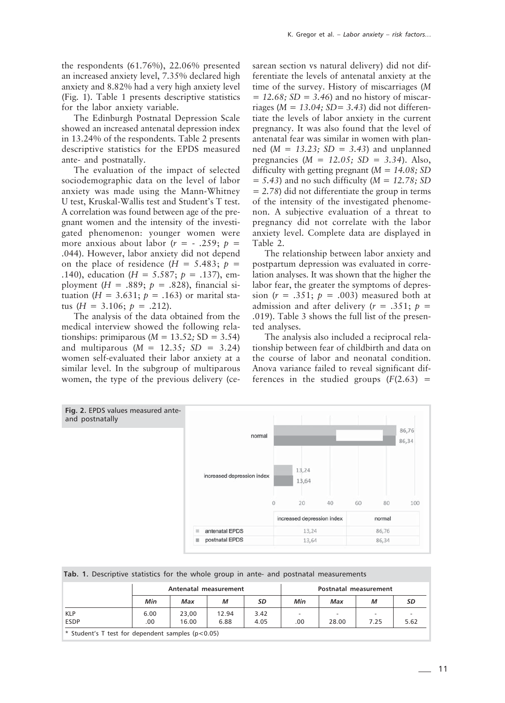the respondents (61.76%), 22.06% presented an increased anxiety level, 7.35% declared high anxiety and 8.82% had a very high anxiety level (Fig. 1). Table 1 presents descriptive statistics for the labor anxiety variable.

The Edinburgh Postnatal Depression Scale showed an increased antenatal depression index in 13.24% of the respondents. Table 2 presents descriptive statistics for the EPDS measured ante- and postnatally.

The evaluation of the impact of selected sociodemographic data on the level of labor anxiety was made using the Mann-Whitney U test, Kruskal-Wallis test and Student's T test. A correlation was found between age of the pregnant women and the intensity of the investigated phenomenon: younger women were more anxious about labor  $(r = -0.259; p =$ .044). However, labor anxiety did not depend on the place of residence  $(H = 5.483; p =$ .140), education (*H* = 5.587; *p* = .137), employment  $(H = .889; p = .828)$ , financial situation ( $H = 3.631$ ;  $p = .163$ ) or marital status ( $H = 3.106$ ;  $p = .212$ ).

The analysis of the data obtained from the medical interview showed the following relationships: primiparous (*M =* 13.52*;* SD = 3.54) and multiparous (*M =* 12.35*; SD =* 3.24) women self-evaluated their labor anxiety at a similar level. In the subgroup of multiparous women, the type of the previous delivery (cesarean section vs natural delivery) did not differentiate the levels of antenatal anxiety at the time of the survey. History of miscarriages (*M = 12.68; SD = 3.46*) and no history of miscarriages (*M = 13.04; SD= 3.43*) did not differentiate the levels of labor anxiety in the current pregnancy. It was also found that the level of antenatal fear was similar in women with planned (*M = 13.23; SD = 3.43*) and unplanned pregnancies (*M = 12.05; SD = 3.34*). Also, difficulty with getting pregnant (*M = 14.08; SD = 5.43*) and no such difficulty (*M = 12.78; SD = 2.78*) did not differentiate the group in terms of the intensity of the investigated phenomenon. A subjective evaluation of a threat to pregnancy did not correlate with the labor anxiety level. Complete data are displayed in Table 2.

The relationship between labor anxiety and postpartum depression was evaluated in correlation analyses. It was shown that the higher the labor fear, the greater the symptoms of depression  $(r = .351; p = .003)$  measured both at admission and after delivery  $(r = .351; p = )$ .019). Table 3 shows the full list of the presented analyses.

The analysis also included a reciprocal relationship between fear of childbirth and data on the course of labor and neonatal condition. Anova variance failed to reveal significant differences in the studied groups  $(F(2.63)$  =



**Tab. 1.** Descriptive statistics for the whole group in ante- and postnatal measurements

|                                                         | Antenatal measurement |       |       |      | Postnatal measurement    |                          |      |      |
|---------------------------------------------------------|-----------------------|-------|-------|------|--------------------------|--------------------------|------|------|
|                                                         | Min                   | Max   | М     | SD   | Min                      | Max                      | М    | SD   |
| <b>KLP</b>                                              | 6.00                  | 23.00 | 12.94 | 3.42 | $\overline{\phantom{a}}$ | $\overline{\phantom{a}}$ | -    |      |
| <b>ESDP</b>                                             | .00                   | 16.00 | 6.88  | 4.05 | .00                      | 28.00                    | 7.25 | 5.62 |
| * Student's T test for dependent samples ( $p < 0.05$ ) |                       |       |       |      |                          |                          |      |      |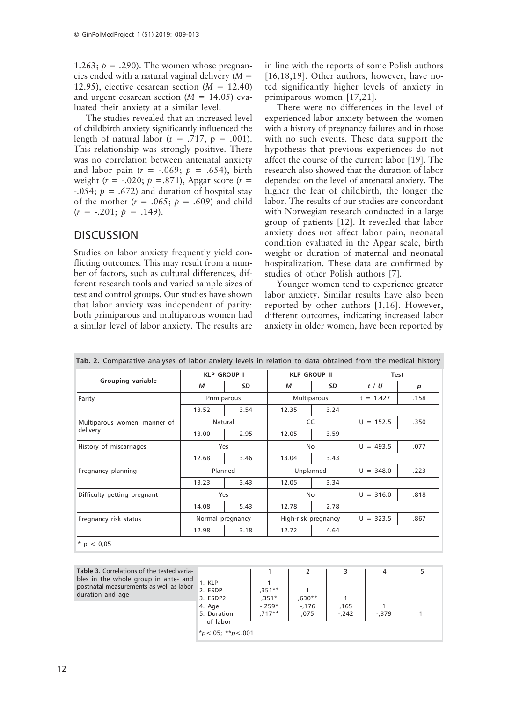1.263;  $p = .290$ ). The women whose pregnancies ended with a natural vaginal delivery (*M* = 12.95), elective cesarean section (*M* = 12.40) and urgent cesarean section (*M* = 14.05) evaluated their anxiety at a similar level.

The studies revealed that an increased level of childbirth anxiety significantly influenced the length of natural labor ( $r = .717$ ,  $p = .001$ ). This relationship was strongly positive. There was no correlation between antenatal anxiety and labor pain  $(r = -.069; p = .654)$ , birth weight (*r* = -.020; *p* =.871), Apgar score (*r* =  $-0.054$ ;  $p = 0.672$ ) and duration of hospital stay of the mother  $(r = .065; p = .609)$  and child  $(r = -.201; p = .149).$ 

#### **DISCUSSION**

Studies on labor anxiety frequently yield conflicting outcomes. This may result from a number of factors, such as cultural differences, different research tools and varied sample sizes of test and control groups. Our studies have shown that labor anxiety was independent of parity: both primiparous and multiparous women had a similar level of labor anxiety. The results are

in line with the reports of some Polish authors [16,18,19]. Other authors, however, have noted significantly higher levels of anxiety in primiparous women [17,21].

There were no differences in the level of experienced labor anxiety between the women with a history of pregnancy failures and in those with no such events. These data support the hypothesis that previous experiences do not affect the course of the current labor [19]. The research also showed that the duration of labor depended on the level of antenatal anxiety. The higher the fear of childbirth, the longer the labor. The results of our studies are concordant with Norwegian research conducted in a large group of patients [12]. It revealed that labor anxiety does not affect labor pain, neonatal condition evaluated in the Apgar scale, birth weight or duration of maternal and neonatal hospitalization. These data are confirmed by studies of other Polish authors [7].

Younger women tend to experience greater labor anxiety. Similar results have also been reported by other authors [1,16]. However, different outcomes, indicating increased labor anxiety in older women, have been reported by

|                                          | <b>KLP GROUP I</b> |      |                     | <b>KLP GROUP II</b> | <b>Test</b> |      |
|------------------------------------------|--------------------|------|---------------------|---------------------|-------------|------|
| Grouping variable                        | М                  | SD   | м                   | SD                  | $t$ / $U$   | p    |
| Parity                                   | Primiparous        |      | Multiparous         |                     | $t = 1.427$ | .158 |
|                                          | 13.52              | 3.54 | 12.35               | 3.24                |             |      |
| Multiparous women: manner of<br>delivery | Natural            |      | CC                  |                     | $U = 152.5$ | .350 |
|                                          | 13.00              | 2.95 | 12.05               | 3.59                |             |      |
| History of miscarriages                  | Yes                |      | No                  |                     | $U = 493.5$ | .077 |
|                                          | 12.68              | 3.46 | 13.04               | 3.43                |             |      |
| Pregnancy planning                       | Planned            |      | Unplanned           |                     | $U = 348.0$ | .223 |
|                                          | 13.23              | 3.43 | 12.05               | 3.34                |             |      |
| Difficulty getting pregnant              | Yes                |      | No                  |                     | $U = 316.0$ | .818 |
|                                          | 14.08              | 5.43 | 12.78               | 2.78                |             |      |
| Pregnancy risk status                    | Normal pregnancy   |      | High-risk pregnancy |                     | $U = 323.5$ | .867 |
|                                          | 12.98              | 3.18 | 12.72               | 4.64                |             |      |

**Tab. 2.** Comparative analyses of labor anxiety levels in relation to data obtained from the medical history

Table 3. Correlations of the tested varia bles in the whole group in ante- an postnatal measurements as well as labor duration and age

| $-6$    |                                                                    |                                           |                           |                 |          |  |
|---------|--------------------------------------------------------------------|-------------------------------------------|---------------------------|-----------------|----------|--|
| d<br>σr | 1. KLP<br>2. ESDP<br>3. ESDP2<br>4. Age<br>5. Duration<br>of labor | ,351**<br>$,351*$<br>$-.259*$<br>$,717**$ | ,630**<br>$-.176$<br>,075 | ,165<br>$-.242$ | $-0.379$ |  |
|         | * $p < .05;$ ** $p < .001$                                         |                                           |                           |                 |          |  |